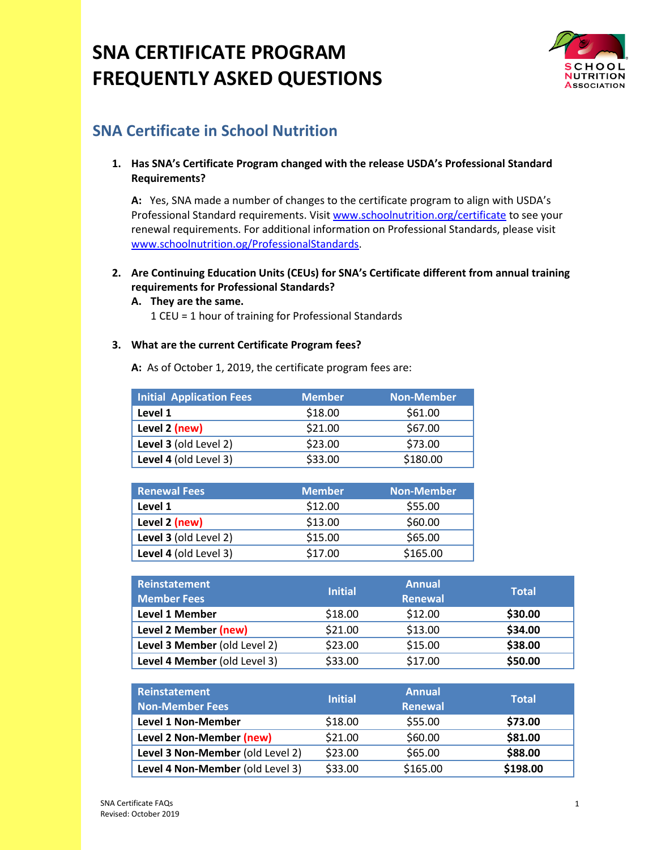

# **SNA Certificate in School Nutrition**

## **1. Has SNA's Certificate Program changed with the release USDA's Professional Standard Requirements?**

**A:** Yes, SNA made a number of changes to the certificate program to align with USDA's Professional Standard requirements. Visit [www.schoolnutrition.org/certificate](http://www.schoolnutrition.org/certificate) to see your renewal requirements. For additional information on Professional Standards, please visit [www.schoolnutrition.og/ProfessionalStandards.](http://www.schoolnutrition.og/ProfessionalStandards)

## **2. Are Continuing Education Units (CEUs) for SNA's Certificate different from annual training requirements for Professional Standards?**

**A. They are the same.**  1 CEU = 1 hour of training for Professional Standards

#### **3. What are the current Certificate Program fees?**

**A:** As of October 1, 2019, the certificate program fees are:

| <b>Initial Application Fees</b> | <b>Member</b> | <b>Non-Member</b> |
|---------------------------------|---------------|-------------------|
| Level 1                         | \$18.00       | \$61.00           |
| Level 2 (new)                   | \$21.00       | \$67.00           |
| Level 3 (old Level 2)           | \$23.00       | \$73.00           |
| Level 4 (old Level 3)           | \$33.00       | \$180.00          |

| <b>Renewal Fees</b>   | <b>Member</b> | <b>Non-Member</b> |
|-----------------------|---------------|-------------------|
| Level 1               | \$12.00       | \$55.00           |
| Level 2 (new)         | \$13.00       | \$60.00           |
| Level 3 (old Level 2) | \$15.00       | \$65.00           |
| Level 4 (old Level 3) | \$17.00       | \$165.00          |

| <b>Reinstatement</b><br><b>Member Fees</b> | <b>Initial</b> | <b>Annual</b><br>Renewal | <b>Total</b> |
|--------------------------------------------|----------------|--------------------------|--------------|
| Level 1 Member                             | \$18.00        | \$12.00                  | \$30.00      |
| Level 2 Member (new)                       | \$21.00        | \$13.00                  | \$34.00      |
| Level 3 Member (old Level 2)               | \$23.00        | \$15.00                  | \$38.00      |
| Level 4 Member (old Level 3)               | \$33.00        | \$17.00                  | \$50.00      |

| Reinstatement<br><b>Non-Member Fees</b> | <b>Initial</b> | <b>Annual</b><br>Renewal | <b>Total</b> |
|-----------------------------------------|----------------|--------------------------|--------------|
| Level 1 Non-Member                      | \$18.00        | \$55.00                  | \$73.00      |
| Level 2 Non-Member (new)                | \$21.00        | \$60.00                  | \$81.00      |
| Level 3 Non-Member (old Level 2)        | \$23.00        | \$65.00                  | \$88.00      |
| Level 4 Non-Member (old Level 3)        | \$33.00        | \$165.00                 | \$198.00     |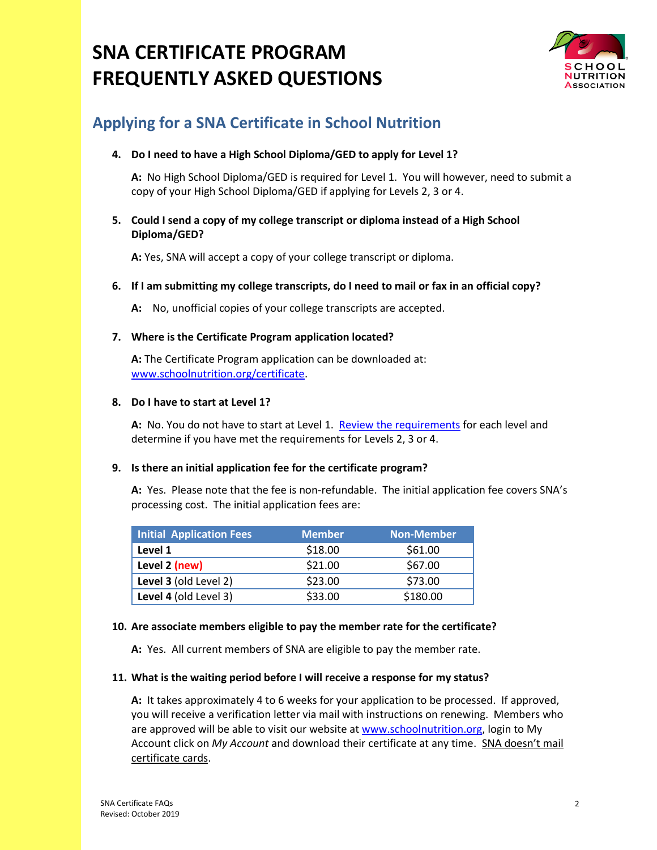

# **Applying for a SNA Certificate in School Nutrition**

### **4. Do I need to have a High School Diploma/GED to apply for Level 1?**

**A:** No High School Diploma/GED is required for Level 1. You will however, need to submit a copy of your High School Diploma/GED if applying for Levels 2, 3 or 4.

### **5. Could I send a copy of my college transcript or diploma instead of a High School Diploma/GED?**

**A:** Yes, SNA will accept a copy of your college transcript or diploma.

#### **6. If I am submitting my college transcripts, do I need to mail or fax in an official copy?**

**A:** No, unofficial copies of your college transcripts are accepted.

#### **7. Where is the Certificate Program application located?**

**A:** The Certificate Program application can be downloaded at: [www.schoolnutrition.org/certificate.](http://www.schoolnutrition.org/certificate)

#### **8. Do I have to start at Level 1?**

**A:** No. You do not have to start at Level 1. [Review the requirements](https://schoolnutrition.org/Certificate/Earn-SNA-Certificate/) for each level and determine if you have met the requirements for Levels 2, 3 or 4.

## **9. Is there an initial application fee for the certificate program?**

**A:** Yes. Please note that the fee is non-refundable. The initial application fee covers SNA's processing cost. The initial application fees are:

| Initial Application Fees | <b>Member</b> | <b>Non-Member</b> |
|--------------------------|---------------|-------------------|
| Level 1                  | \$18.00       | \$61.00           |
| Level 2 (new)            | \$21.00       | \$67.00           |
| Level 3 (old Level 2)    | \$23.00       | \$73.00           |
| Level 4 (old Level 3)    | \$33.00       | \$180.00          |

## **10. Are associate members eligible to pay the member rate for the certificate?**

**A:** Yes. All current members of SNA are eligible to pay the member rate.

#### **11. What is the waiting period before I will receive a response for my status?**

**A:** It takes approximately 4 to 6 weeks for your application to be processed. If approved, you will receive a verification letter via mail with instructions on renewing. Members who are approved will be able to visit our website at [www.schoolnutrition.org,](http://www.schoolnutrition.org/) login to My Account click on *My Account* and download their certificate at any time. SNA doesn't mail certificate cards.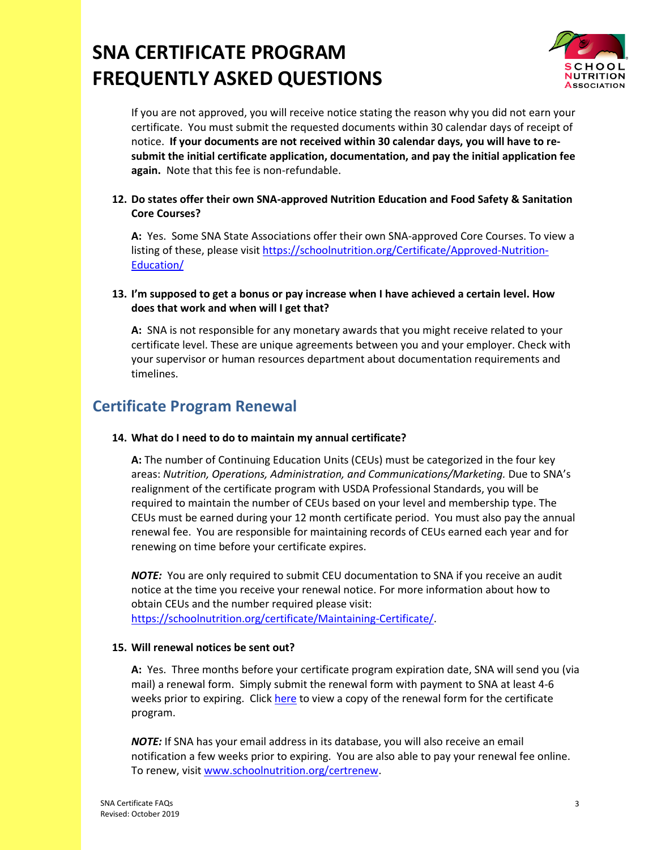

If you are not approved, you will receive notice stating the reason why you did not earn your certificate. You must submit the requested documents within 30 calendar days of receipt of notice. **If your documents are not received within 30 calendar days, you will have to resubmit the initial certificate application, documentation, and pay the initial application fee again.** Note that this fee is non-refundable.

## **12. Do states offer their own SNA-approved Nutrition Education and Food Safety & Sanitation Core Courses?**

**A:** Yes. Some SNA State Associations offer their own SNA-approved Core Courses. To view a listing of these, please visit [https://schoolnutrition.org/Certificate/Approved-Nutrition-](https://schoolnutrition.org/Certificate/Approved-Nutrition-Education/)[Education/](https://schoolnutrition.org/Certificate/Approved-Nutrition-Education/)

#### **13. I'm supposed to get a bonus or pay increase when I have achieved a certain level. How does that work and when will I get that?**

**A:** SNA is not responsible for any monetary awards that you might receive related to your certificate level. These are unique agreements between you and your employer. Check with your supervisor or human resources department about documentation requirements and timelines.

# **Certificate Program Renewal**

#### **14. What do I need to do to maintain my annual certificate?**

**A:** The number of Continuing Education Units (CEUs) must be categorized in the four key areas: *Nutrition, Operations, Administration, and Communications/Marketing.* Due to SNA's realignment of the certificate program with USDA Professional Standards, you will be required to maintain the number of CEUs based on your level and membership type. The CEUs must be earned during your 12 month certificate period. You must also pay the annual renewal fee. You are responsible for maintaining records of CEUs earned each year and for renewing on time before your certificate expires.

*NOTE:* You are only required to submit CEU documentation to SNA if you receive an audit notice at the time you receive your renewal notice. For more information about how to obtain CEUs and the number required please visit: [https://schoolnutrition.org/certificate/Maintaining-Certificate/.](https://schoolnutrition.org/certificate/Maintaining-Certificate/)

## **15. Will renewal notices be sent out?**

**A:** Yes. Three months before your certificate program expiration date, SNA will send you (via mail) a renewal form. Simply submit the renewal form with payment to SNA at least 4-6 weeks prior to expiring. Click [here](https://schoolnutrition.org/Certificate/Earn-SNA-Certificate/) to view a copy of the renewal form for the certificate program.

*NOTE:* If SNA has your email address in its database, you will also receive an email notification a few weeks prior to expiring. You are also able to pay your renewal fee online. To renew, visit [www.schoolnutrition.org/certrenew.](http://www.schoolnutrition.org/certrenew)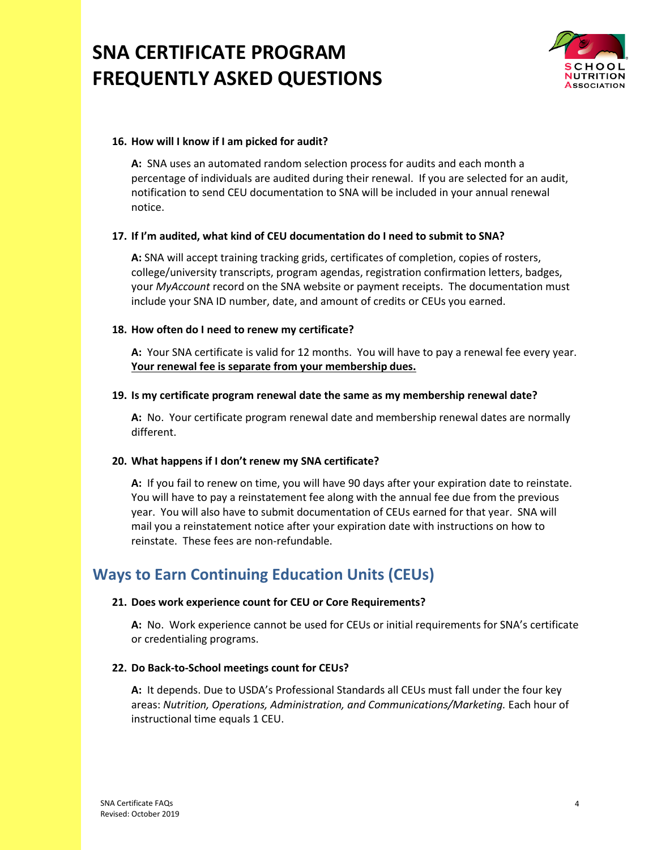

#### **16. How will I know if I am picked for audit?**

**A:** SNA uses an automated random selection process for audits and each month a percentage of individuals are audited during their renewal. If you are selected for an audit, notification to send CEU documentation to SNA will be included in your annual renewal notice.

#### **17. If I'm audited, what kind of CEU documentation do I need to submit to SNA?**

**A:** SNA will accept training tracking grids, certificates of completion, copies of rosters, college/university transcripts, program agendas, registration confirmation letters, badges, your *MyAccount* record on the SNA website or payment receipts. The documentation must include your SNA ID number, date, and amount of credits or CEUs you earned.

#### **18. How often do I need to renew my certificate?**

**A:** Your SNA certificate is valid for 12 months. You will have to pay a renewal fee every year. **Your renewal fee is separate from your membership dues.**

#### **19. Is my certificate program renewal date the same as my membership renewal date?**

**A:** No.Your certificate program renewal date and membership renewal dates are normally different.

#### **20. What happens if I don't renew my SNA certificate?**

**A:** If you fail to renew on time, you will have 90 days after your expiration date to reinstate. You will have to pay a reinstatement fee along with the annual fee due from the previous year. You will also have to submit documentation of CEUs earned for that year. SNA will mail you a reinstatement notice after your expiration date with instructions on how to reinstate. These fees are non-refundable.

# **Ways to Earn Continuing Education Units (CEUs)**

#### **21. Does work experience count for CEU or Core Requirements?**

**A:** No. Work experience cannot be used for CEUs or initial requirements for SNA's certificate or credentialing programs.

#### **22. Do Back-to-School meetings count for CEUs?**

**A:** It depends. Due to USDA's Professional Standards all CEUs must fall under the four key areas: *Nutrition, Operations, Administration, and Communications/Marketing.* Each hour of instructional time equals 1 CEU.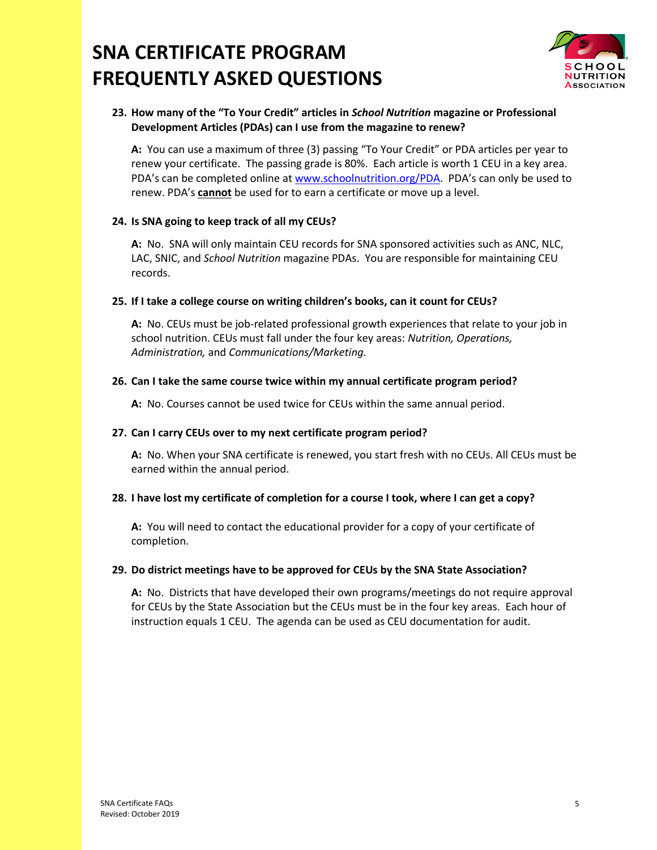

## **23. How many of the "To Your Credit" articles in** *School Nutrition* **magazine or Professional Development Articles (PDAs) can I use from the magazine to renew?**

**A:** You can use a maximum of three (3) passing "To Your Credit" or PDA articles per year to renew your certificate. The passing grade is 80%. Each article is worth 1 CEU in a key area. PDA's can be completed online at [www.schoolnutrition.org/PDA.](http://www.schoolnutrition.org/PDA) PDA's can only be used to renew. PDA's **cannot** be used for to earn a certificate or move up a level.

## **24. Is SNA going to keep track of all my CEUs?**

**A:** No. SNA will only maintain CEU records for SNA sponsored activities such as ANC, NLC, LAC, SNIC, and *School Nutrition* magazine PDAs. You are responsible for maintaining CEU records.

#### **25. If I take a college course on writing children's books, can it count for CEUs?**

**A:** No. CEUs must be job-related professional growth experiences that relate to your job in school nutrition. CEUs must fall under the four key areas: *Nutrition, Operations, Administration,* and *Communications/Marketing.* 

#### **26. Can I take the same course twice within my annual certificate program period?**

**A:** No. Courses cannot be used twice for CEUs within the same annual period.

#### **27. Can I carry CEUs over to my next certificate program period?**

**A:** No. When your SNA certificate is renewed, you start fresh with no CEUs. All CEUs must be earned within the annual period.

#### **28. I have lost my certificate of completion for a course I took, where I can get a copy?**

**A:** You will need to contact the educational provider for a copy of your certificate of completion.

#### **29. Do district meetings have to be approved for CEUs by the SNA State Association?**

**A:** No. Districts that have developed their own programs/meetings do not require approval for CEUs by the State Association but the CEUs must be in the four key areas. Each hour of instruction equals 1 CEU. The agenda can be used as CEU documentation for audit.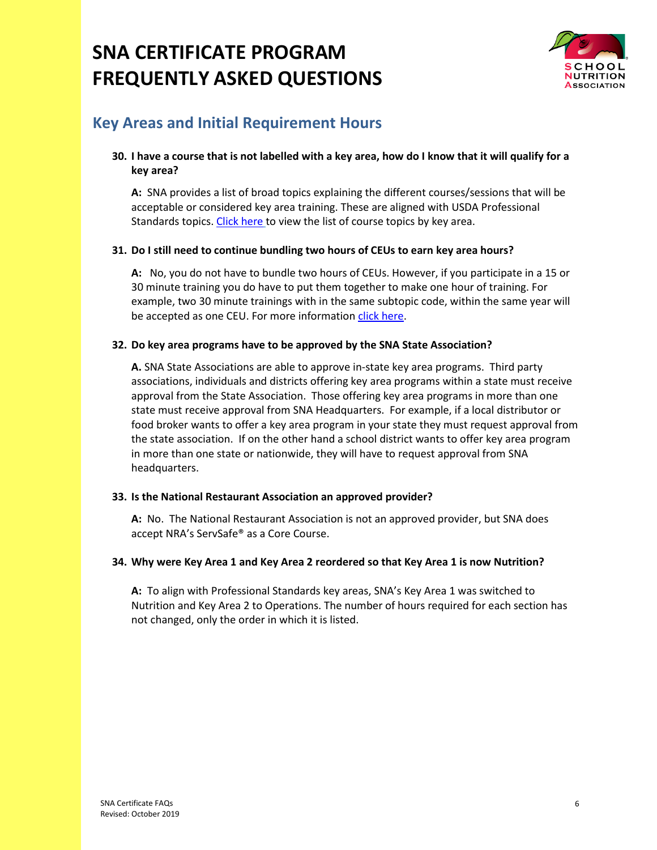

# **Key Areas and Initial Requirement Hours**

## **30. I have a course that is not labelled with a key area, how do I know that it will qualify for a key area?**

**A:** SNA provides a list of broad topics explaining the different courses/sessions that will be acceptable or considered key area training. These are aligned with USDA Professional Standards topics[. Click here](http://www.schoolnutrition.org/professionalstandards) to view the list of course topics by key area.

#### **31. Do I still need to continue bundling two hours of CEUs to earn key area hours?**

**A:** No, you do not have to bundle two hours of CEUs. However, if you participate in a 15 or 30 minute training you do have to put them together to make one hour of training. For example, two 30 minute trainings with in the same subtopic code, within the same year will be accepted as one CEU. For more informatio[n click here.](https://schoolnutrition.org/Credentialing/EarningCEUsKeyAreaHours/)

#### **32. Do key area programs have to be approved by the SNA State Association?**

**A.** SNA State Associations are able to approve in-state key area programs. Third party associations, individuals and districts offering key area programs within a state must receive approval from the State Association. Those offering key area programs in more than one state must receive approval from SNA Headquarters. For example, if a local distributor or food broker wants to offer a key area program in your state they must request approval from the state association. If on the other hand a school district wants to offer key area program in more than one state or nationwide, they will have to request approval from SNA headquarters.

## **33. Is the National Restaurant Association an approved provider?**

**A:** No. The National Restaurant Association is not an approved provider, but SNA does accept NRA's ServSafe® as a Core Course.

#### **34. Why were Key Area 1 and Key Area 2 reordered so that Key Area 1 is now Nutrition?**

**A:** To align with Professional Standards key areas, SNA's Key Area 1 was switched to Nutrition and Key Area 2 to Operations. The number of hours required for each section has not changed, only the order in which it is listed.